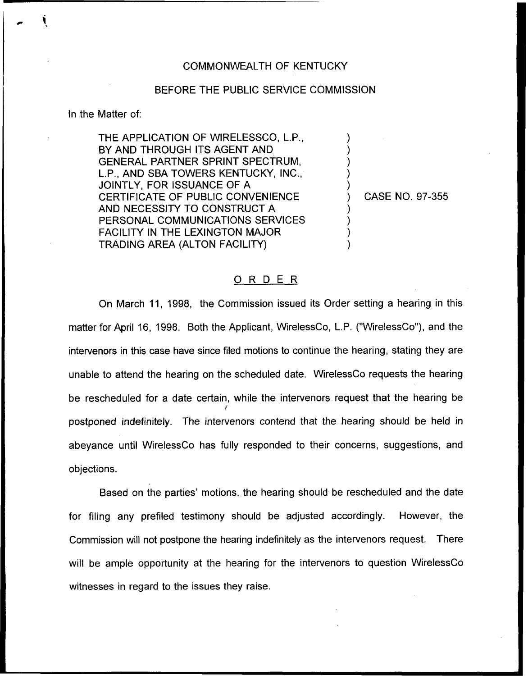## COMMONWEALTH OF KENTUCKY

## BEFORE THE PUBLIC SERVICE COMMISSION

In the Matter of:

THE APPLICATION OF WIRELESSCO, L.P., BY AND THROUGH ITS AGENT AND GENERAL PARTNER SPRINT SPECTRUM, L.P., AND SBA TOWERS KENTUCKY, INC., JOINTLY, FOR ISSUANCE OF A CERTIFICATE OF PUBLIC CONVENIENCE AND NECESSITY TO CONSTRUCT A PERSONAL COMMUNICATIONS SERVICES FACILITY IN THE LEXINGTON MAJOR TRADING AREA (ALTON FACILITY)

) CASE NO. 97-355

) ) ) ) )

) ) ) )

## 0 <sup>R</sup> <sup>D</sup> <sup>E</sup> <sup>R</sup>

On March 11, 1998, the Commission issued its Order setting a hearing in this matter for April 16, 1998. Both the Applicant, WirelessCo, L.P. {"WirelessCo"), and the intervenors in this case have since filed motions to continue the hearing, stating they are unable to attend the hearing on the scheduled date. WirelessCo requests the hearing be rescheduled for a date certain, while the intervenors request that the hearing be postponed indefinitely. The intervenors contend that the hearing should be held in abeyance until WirelessCo has fully responded to their concerns, suggestions, and objections.

Based on the parties' motions, the hearing should be rescheduled and the date for filing any prefiled testimony should be adjusted accordingly. However, the Commission will not postpone the hearing indefinitely as the intervenors request. There will be ample opportunity at the hearing for the intervenors to question WirelessCo witnesses in regard to the issues they raise.